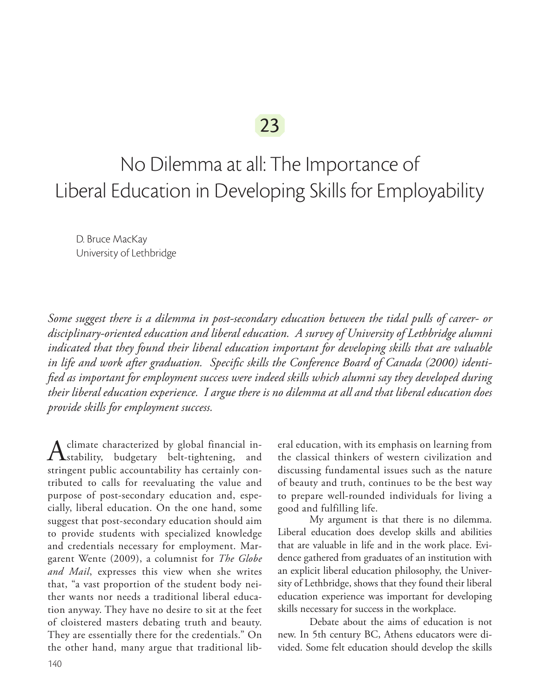No Dilemma at all: The Importance of Liberal Education in Developing Skills for Employability

D. Bruce MacKay University of Lethbridge

*Some suggest there is a dilemma in post-secondary education between the tidal pulls of career- or disciplinary-oriented education and liberal education. A survey of University of Lethbridge alumni indicated that they found their liberal education important for developing skills that are valuable in life and work after graduation. Specific skills the Conference Board of Canada (2000) identified as important for employment success were indeed skills which alumni say they developed during their liberal education experience. I argue there is no dilemma at all and that liberal education does provide skills for employment success.*

A climate characterized by global financial in-<br>stability, budgetary belt-tightening, and stringent public accountability has certainly contributed to calls for reevaluating the value and purpose of post-secondary education and, especially, liberal education. On the one hand, some suggest that post-secondary education should aim to provide students with specialized knowledge and credentials necessary for employment. Margarent Wente (2009), a columnist for *The Globe and Mail*, expresses this view when she writes that, "a vast proportion of the student body neither wants nor needs a traditional liberal education anyway. They have no desire to sit at the feet of cloistered masters debating truth and beauty. They are essentially there for the credentials." On the other hand, many argue that traditional lib-

eral education, with its emphasis on learning from the classical thinkers of western civilization and discussing fundamental issues such as the nature of beauty and truth, continues to be the best way to prepare well-rounded individuals for living a good and fulfilling life.

My argument is that there is no dilemma. Liberal education does develop skills and abilities that are valuable in life and in the work place. Evidence gathered from graduates of an institution with an explicit liberal education philosophy, the University of Lethbridge, shows that they found their liberal education experience was important for developing skills necessary for success in the workplace.

Debate about the aims of education is not new. In 5th century BC, Athens educators were divided. Some felt education should develop the skills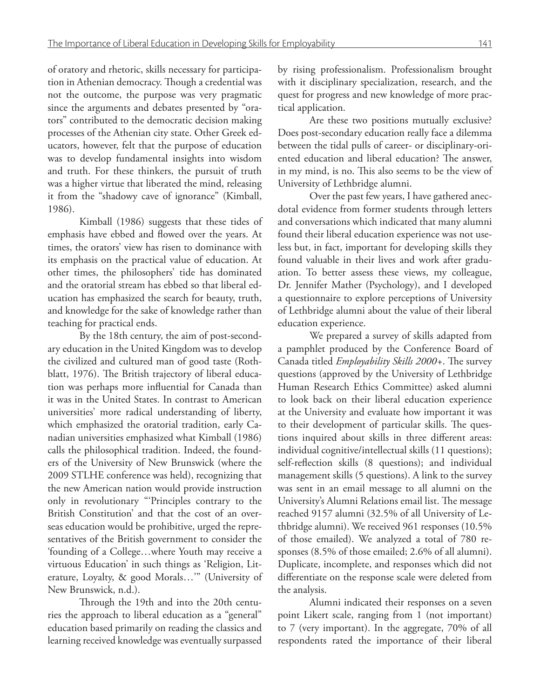of oratory and rhetoric, skills necessary for participation in Athenian democracy. Though a credential was not the outcome, the purpose was very pragmatic since the arguments and debates presented by "orators" contributed to the democratic decision making processes of the Athenian city state. Other Greek educators, however, felt that the purpose of education was to develop fundamental insights into wisdom and truth. For these thinkers, the pursuit of truth was a higher virtue that liberated the mind, releasing it from the "shadowy cave of ignorance" (Kimball, 1986).

Kimball (1986) suggests that these tides of emphasis have ebbed and flowed over the years. At times, the orators' view has risen to dominance with its emphasis on the practical value of education. At other times, the philosophers' tide has dominated and the oratorial stream has ebbed so that liberal education has emphasized the search for beauty, truth, and knowledge for the sake of knowledge rather than teaching for practical ends.

By the 18th century, the aim of post-secondary education in the United Kingdom was to develop the civilized and cultured man of good taste (Rothblatt, 1976). The British trajectory of liberal education was perhaps more influential for Canada than it was in the United States. In contrast to American universities' more radical understanding of liberty, which emphasized the oratorial tradition, early Canadian universities emphasized what Kimball (1986) calls the philosophical tradition. Indeed, the founders of the University of New Brunswick (where the 2009 STLHE conference was held), recognizing that the new American nation would provide instruction only in revolutionary "'Principles contrary to the British Constitution' and that the cost of an overseas education would be prohibitive, urged the representatives of the British government to consider the 'founding of a College…where Youth may receive a virtuous Education' in such things as 'Religion, Literature, Loyalty, & good Morals…'" (University of New Brunswick, n.d.).

Through the 19th and into the 20th centuries the approach to liberal education as a "general" education based primarily on reading the classics and learning received knowledge was eventually surpassed by rising professionalism. Professionalism brought with it disciplinary specialization, research, and the quest for progress and new knowledge of more practical application.

Are these two positions mutually exclusive? Does post-secondary education really face a dilemma between the tidal pulls of career- or disciplinary-oriented education and liberal education? The answer, in my mind, is no. This also seems to be the view of University of Lethbridge alumni.

Over the past few years, I have gathered anecdotal evidence from former students through letters and conversations which indicated that many alumni found their liberal education experience was not useless but, in fact, important for developing skills they found valuable in their lives and work after graduation. To better assess these views, my colleague, Dr. Jennifer Mather (Psychology), and I developed a questionnaire to explore perceptions of University of Lethbridge alumni about the value of their liberal education experience.

We prepared a survey of skills adapted from a pamphlet produced by the Conference Board of Canada titled *Employability Skills 2000+*. The survey questions (approved by the University of Lethbridge Human Research Ethics Committee) asked alumni to look back on their liberal education experience at the University and evaluate how important it was to their development of particular skills. The questions inquired about skills in three different areas: individual cognitive/intellectual skills (11 questions); self-reflection skills (8 questions); and individual management skills (5 questions). A link to the survey was sent in an email message to all alumni on the University's Alumni Relations email list. The message reached 9157 alumni (32.5% of all University of Lethbridge alumni). We received 961 responses (10.5% of those emailed). We analyzed a total of 780 responses (8.5% of those emailed; 2.6% of all alumni). Duplicate, incomplete, and responses which did not differentiate on the response scale were deleted from the analysis.

Alumni indicated their responses on a seven point Likert scale, ranging from 1 (not important) to 7 (very important). In the aggregate, 70% of all respondents rated the importance of their liberal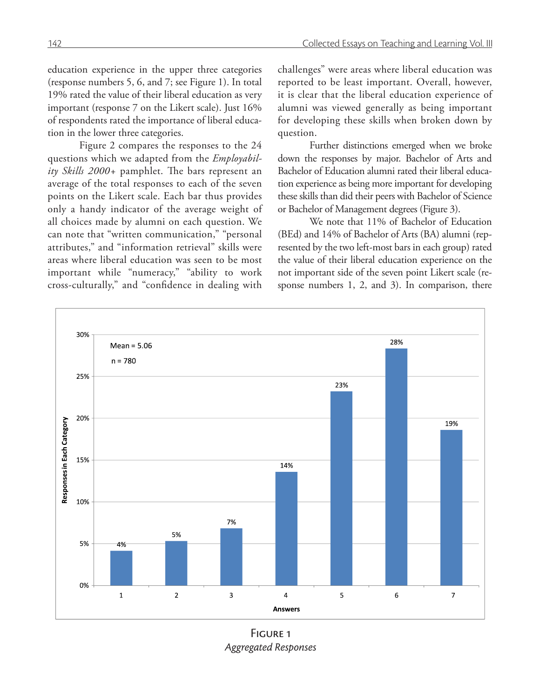education experience in the upper three categories (response numbers 5, 6, and 7; see Figure 1). In total 19% rated the value of their liberal education as very important (response 7 on the Likert scale). Just 16% of respondents rated the importance of liberal education in the lower three categories.

Figure 2 compares the responses to the 24 questions which we adapted from the *Employability Skills 2000+* pamphlet. The bars represent an average of the total responses to each of the seven points on the Likert scale. Each bar thus provides only a handy indicator of the average weight of all choices made by alumni on each question. We can note that "written communication," "personal attributes," and "information retrieval" skills were areas where liberal education was seen to be most important while "numeracy," "ability to work cross-culturally," and "confidence in dealing with

challenges" were areas where liberal education was reported to be least important. Overall, however, it is clear that the liberal education experience of alumni was viewed generally as being important for developing these skills when broken down by question.

Further distinctions emerged when we broke down the responses by major. Bachelor of Arts and Bachelor of Education alumni rated their liberal education experience as being more important for developing these skills than did their peers with Bachelor of Science or Bachelor of Management degrees (Figure 3).

We note that 11% of Bachelor of Education (BEd) and 14% of Bachelor of Arts (BA) alumni (represented by the two left-most bars in each group) rated the value of their liberal education experience on the not important side of the seven point Likert scale (response numbers 1, 2, and 3). In comparison, there



FIGURE<sub>1</sub> *Aggregated Responses*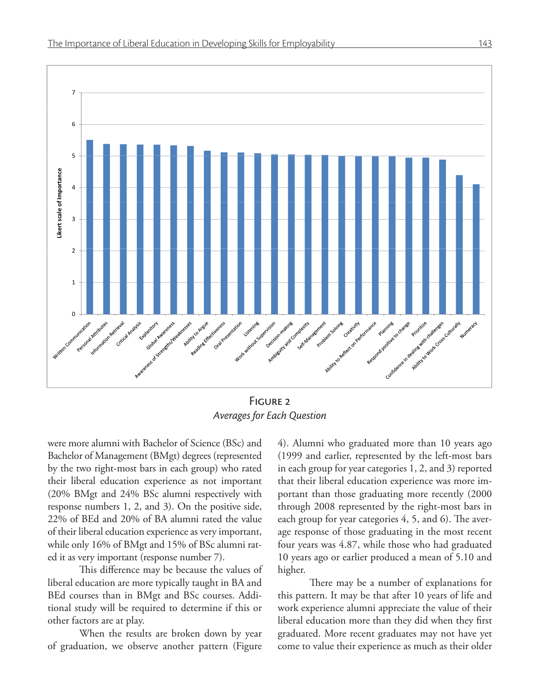

Figure 2 *Averages for Each Question*

were more alumni with Bachelor of Science (BSc) and Bachelor of Management (BMgt) degrees (represented by the two right-most bars in each group) who rated their liberal education experience as not important (20% BMgt and 24% BSc alumni respectively with response numbers 1, 2, and 3). On the positive side, 22% of BEd and 20% of BA alumni rated the value of their liberal education experience as very important, while only 16% of BMgt and 15% of BSc alumni rated it as very important (response number 7).

This difference may be because the values of liberal education are more typically taught in BA and BEd courses than in BMgt and BSc courses. Additional study will be required to determine if this or other factors are at play.

When the results are broken down by year of graduation, we observe another pattern (Figure

4). Alumni who graduated more than 10 years ago (1999 and earlier, represented by the left-most bars in each group for year categories 1, 2, and 3) reported that their liberal education experience was more important than those graduating more recently (2000 through 2008 represented by the right-most bars in each group for year categories 4, 5, and 6). The average response of those graduating in the most recent four years was 4.87, while those who had graduated 10 years ago or earlier produced a mean of 5.10 and higher.

There may be a number of explanations for this pattern. It may be that after 10 years of life and work experience alumni appreciate the value of their liberal education more than they did when they first graduated. More recent graduates may not have yet come to value their experience as much as their older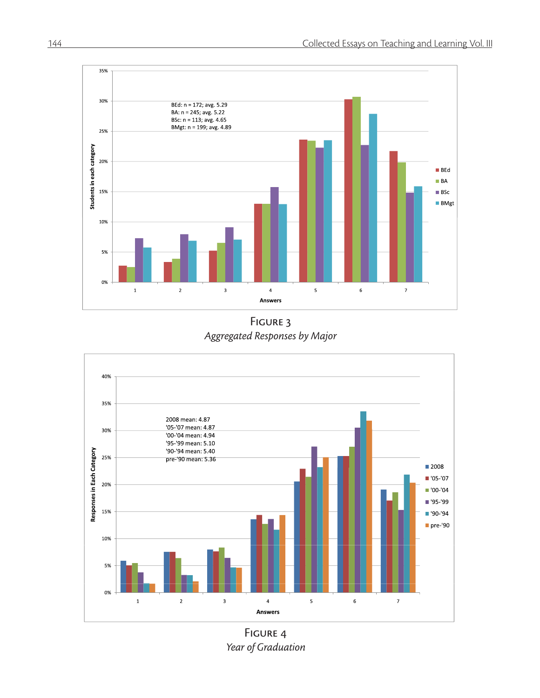

FIGURE 3 *Aggregated Responses by Major*



FIGURE 4 *Year of Graduation*